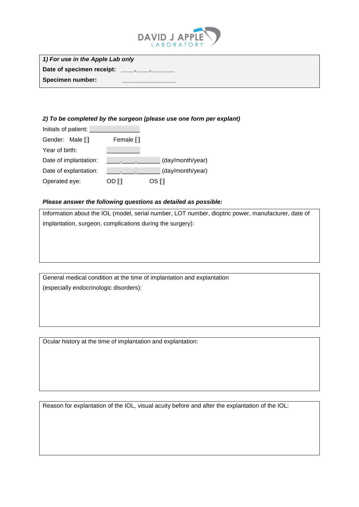

| 1) For use in the Apple Lab only |  |
|----------------------------------|--|
| Date of specimen receipt:        |  |
| Specimen number:                 |  |

## *2) To be completed by the surgeon (please use one form per explant)*

| Initials of patient:  |           |                  |
|-----------------------|-----------|------------------|
| Gender: Male []       | Female [] |                  |
| Year of birth:        |           |                  |
| Date of implantation: |           | (day/month/year) |
| Date of explantation: |           | (day/month/year) |
| Operated eye:         | OD []     | OS I 1           |

## *Please answer the following questions as detailed as possible:*

Information about the IOL (model, serial number, LOT number, dioptric power, manufacturer, date of implantation, surgeon, complications during the surgery):

General medical condition at the time of implantation and explantation (especially endocrinologic disorders):

Ocular history at the time of implantation and explantation:

Reason for explantation of the IOL, visual acuity before and after the explantation of the IOL: